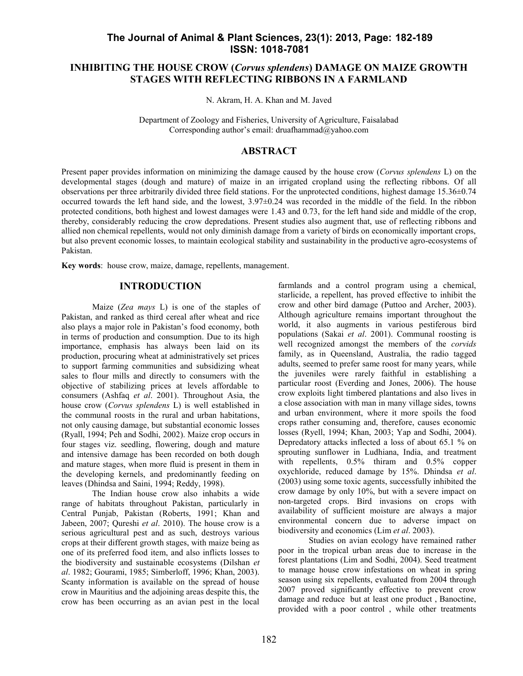# **Akram** *et al* **J. Anim. Plant Sci. 23(1):2013 The Journal of Animal & Plant Sciences, 23(1): 2013, Page: 182-189 ISSN: 1018-7081**

## **INHIBITING THE HOUSE CROW (***Corvus splendens***) DAMAGE ON MAIZE GROWTH STAGES WITH REFLECTING RIBBONS IN A FARMLAND**

N. Akram, H. A. Khan and M. Javed

Department of Zoology and Fisheries, University of Agriculture, Faisalabad Corresponding author's email: druafhammad@yahoo.com

## **ABSTRACT**

Present paper provides information on minimizing the damage caused by the house crow (*Corvus splendens* L) on the developmental stages (dough and mature) of maize in an irrigated cropland using the reflecting ribbons. Of all observations per three arbitrarily divided three field stations. For the unprotected conditions, highest damage 15.36±0.74 occurred towards the left hand side, and the lowest, 3.97±0.24 was recorded in the middle of the field. In the ribbon protected conditions, both highest and lowest damages were 1.43 and 0.73, for the left hand side and middle of the crop, thereby, considerably reducing the crow depredations. Present studies also augment that, use of reflecting ribbons and allied non chemical repellents, would not only diminish damage from a variety of birds on economically important crops, but also prevent economic losses, to maintain ecological stability and sustainability in the productive agro-ecosystems of Pakistan.

**Key words**: house crow, maize, damage, repellents, management.

#### **INTRODUCTION**

Maize (*Zea mays* L) is one of the staples of Pakistan, and ranked as third cereal after wheat and rice also plays a major role in Pakistan's food economy, both in terms of production and consumption. Due to its high importance, emphasis has always been laid on its production, procuring wheat at administratively set prices to support farming communities and subsidizing wheat sales to flour mills and directly to consumers with the objective of stabilizing prices at levels affordable to consumers (Ashfaq *et al*. 2001). Throughout Asia, the house crow (*Corvus splendens* L) is well established in the communal roosts in the rural and urban habitations, not only causing damage, but substantial economic losses (Ryall, 1994; Peh and Sodhi, 2002). Maize crop occurs in four stages viz. seedling, flowering, dough and mature and intensive damage has been recorded on both dough and mature stages, when more fluid is present in them in the developing kernels, and predominantly feeding on leaves (Dhindsa and Saini, 1994; Reddy, 1998).

The Indian house crow also inhabits a wide range of habitats throughout Pakistan, particularly in Central Punjab, Pakistan (Roberts, 1991; Khan and Jabeen, 2007; Qureshi *et al*. 2010). The house crow is a serious agricultural pest and as such, destroys various crops at their different growth stages, with maize being as one of its preferred food item, and also inflicts losses to the biodiversity and sustainable ecosystems (Dilshan *et al*. 1982; Gourami, 1985; Simberloff, 1996; Khan, 2003). Scanty information is available on the spread of house crow in Mauritius and the adjoining areas despite this, the crow has been occurring as an avian pest in the local

farmlands and a control program using a chemical, starlicide, a repellent, has proved effective to inhibit the crow and other bird damage (Puttoo and Archer, 2003). Although agriculture remains important throughout the world, it also augments in various pestiferous bird populations (Sakai *et al*. 2001). Communal roosting is well recognized amongst the members of the *corvids* family, as in Queensland, Australia, the radio tagged adults, seemed to prefer same roost for many years, while the juveniles were rarely faithful in establishing a particular roost (Everding and Jones, 2006). The house crow exploits light timbered plantations and also lives in a close association with man in many village sides, towns and urban environment, where it more spoils the food crops rather consuming and, therefore, causes economic losses (Ryell, 1994; Khan, 2003; Yap and Sodhi, 2004). Depredatory attacks inflected a loss of about 65.1 % on sprouting sunflower in Ludhiana, India, and treatment with repellents,  $0.5\%$  thiram and  $0.5\%$  copper oxychloride, reduced damage by 15%. Dhindsa *et al*. (2003) using some toxic agents, successfully inhibited the crow damage by only 10%, but with a severe impact on non-targeted crops. Bird invasions on crops with availability of sufficient moisture are always a major environmental concern due to adverse impact on biodiversity and economics (Lim *et al*. 2003).

Studies on avian ecology have remained rather poor in the tropical urban areas due to increase in the forest plantations (Lim and Sodhi, 2004). Seed treatment to manage house crow infestations on wheat in spring season using six repellents, evaluated from 2004 through 2007 proved significantly effective to prevent crow damage and reduce but at least one product , Banoctine, provided with a poor control , while other treatments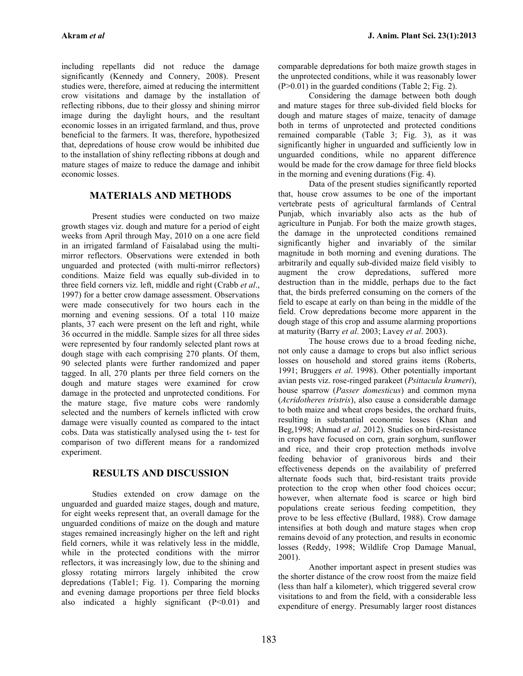including repellants did not reduce the damage significantly (Kennedy and Connery, 2008). Present studies were, therefore, aimed at reducing the intermittent crow visitations and damage by the installation of reflecting ribbons, due to their glossy and shining mirror image during the daylight hours, and the resultant economic losses in an irrigated farmland, and thus, prove beneficial to the farmers. It was, therefore, hypothesized that, depredations of house crow would be inhibited due to the installation of shiny reflecting ribbons at dough and mature stages of maize to reduce the damage and inhibit economic losses.

## **MATERIALS AND METHODS**

Present studies were conducted on two maize growth stages viz. dough and mature for a period of eight weeks from April through May, 2010 on a one acre field in an irrigated farmland of Faisalabad using the multi mirror reflectors. Observations were extended in both unguarded and protected (with multi-mirror reflectors) conditions. Maize field was equally sub-divided in to three field corners viz. left, middle and right (Crabb *et al*., 1997) for a better crow damage assessment. Observations were made consecutively for two hours each in the morning and evening sessions. Of a total 110 maize plants, 37 each were present on the left and right, while 36 occurred in the middle. Sample sizes for all three sides were represented by four randomly selected plant rows at dough stage with each comprising 270 plants. Of them, 90 selected plants were further randomized and paper tagged. In all, 270 plants per three field corners on the dough and mature stages were examined for crow damage in the protected and unprotected conditions. For the mature stage, five mature cobs were randomly selected and the numbers of kernels inflicted with crow damage were visually counted as compared to the intact cobs. Data was statistically analysed using the t- test for comparison of two different means for a randomized experiment.

### **RESULTS AND DISCUSSION**

Studies extended on crow damage on the unguarded and guarded maize stages, dough and mature, for eight weeks represent that, an overall damage for the unguarded conditions of maize on the dough and mature stages remained increasingly higher on the left and right field corners, while it was relatively less in the middle, while in the protected conditions with the mirror reflectors, it was increasingly low, due to the shining and glossy rotating mirrors largely inhibited the crow depredations (Table1; Fig. 1). Comparing the morning and evening damage proportions per three field blocks also indicated a highly significant  $(P<0.01)$  and comparable depredations for both maize growth stages in the unprotected conditions, while it was reasonably lower  $(P>0.01)$  in the guarded conditions (Table 2; Fig. 2).

Considering the damage between both dough and mature stages for three sub-divided field blocks for dough and mature stages of maize, tenacity of damage both in terms of unprotected and protected conditions remained comparable (Table 3; Fig. 3), as it was significantly higher in unguarded and sufficiently low in unguarded conditions, while no apparent difference would be made for the crow damage for three field blocks in the morning and evening durations (Fig. 4).

Data of the present studies significantly reported that, house crow assumes to be one of the important vertebrate pests of agricultural farmlands of Central Punjab, which invariably also acts as the hub of agriculture in Punjab. For both the maize growth stages, the damage in the unprotected conditions remained significantly higher and invariably of the similar magnitude in both morning and evening durations. The arbitrarily and equally sub-divided maize field visibly to augment the crow depredations, suffered more destruction than in the middle, perhaps due to the fact that, the birds preferred consuming on the corners of the field to escape at early on than being in the middle of the field. Crow depredations become more apparent in the dough stage of this crop and assume alarming proportions at maturity (Barry *et al*. 2003; Lavey *et al*. 2003).

The house crows due to a broad feeding niche, not only cause a damage to crops but also inflict serious losses on household and stored grains items (Roberts, 1991; Bruggers *et al*. 1998). Other potentially important avian pests viz. rose-ringed parakeet (*Psittacula krameri*), house sparrow (*Passer domesticus*) and common myna (*Acridotheres tristris*), also cause a considerable damage to both maize and wheat crops besides, the orchard fruits, resulting in substantial economic losses (Khan and Beg,1998; Ahmad *et al*. 2012). Studies on bird-resistance in crops have focused on corn, grain sorghum, sunflower and rice, and their crop protection methods involve feeding behavior of granivorous birds and their effectiveness depends on the availability of preferred alternate foods such that, bird-resistant traits provide protection to the crop when other food choices occur; however, when alternate food is scarce or high bird populations create serious feeding competition, they prove to be less effective (Bullard, 1988). Crow damage intensifies at both dough and mature stages when crop remains devoid of any protection, and results in economic losses (Reddy, 1998; Wildlife Crop Damage Manual, 2001).

Another important aspect in present studies was the shorter distance of the crow roost from the maize field (less than half a kilometer), which triggered several crow visitations to and from the field, with a considerable less expenditure of energy. Presumably larger roost distances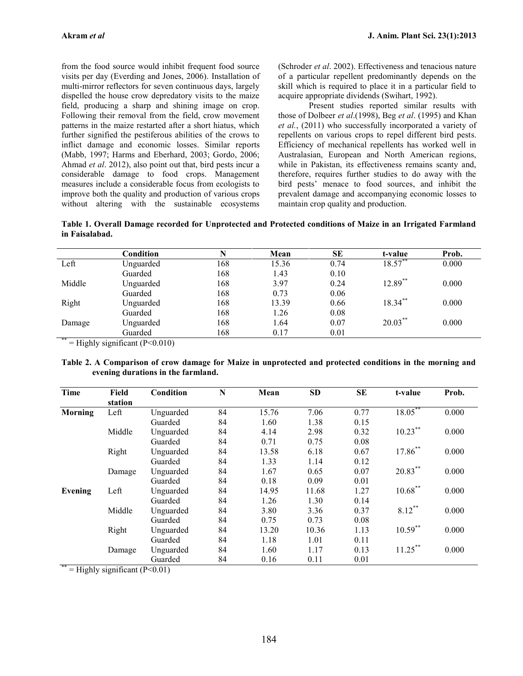from the food source would inhibit frequent food source visits per day (Everding and Jones, 2006). Installation of multi-mirror reflectors for seven continuous days, largely dispelled the house crow depredatory visits to the maize field, producing a sharp and shining image on crop. Following their removal from the field, crow movement patterns in the maize restarted after a short hiatus, which further signified the pestiferous abilities of the crows to inflict damage and economic losses. Similar reports (Mabb, 1997; Harms and Eberhard, 2003; Gordo, 2006; Ahmad *et al*. 2012), also point out that, bird pests incur a considerable damage to food crops. Management measures include a considerable focus from ecologists to improve both the quality and production of various crops without altering with the sustainable ecosystems

(Schroder *et al*. 2002). Effectiveness and tenacious nature of a particular repellent predominantly depends on the skill which is required to place it in a particular field to acquire appropriate dividends (Swihart, 1992).

Present studies reported similar results with those of Dolbeer *et al*.(1998), Beg *et al*. (1995) and Khan *et al.*, (2011) who successfully incorporated a variety of repellents on various crops to repel different bird pests. Efficiency of mechanical repellents has worked well in Australasian, European and North American regions, while in Pakistan, its effectiveness remains scanty and, therefore, requires further studies to do away with the bird pests' menace to food sources, and inhibit the prevalent damage and accompanying economic losses to maintain crop quality and production.

**Table 1. Overall Damage recorded for Unprotected and Protected conditions of Maize in an Irrigated Farmland in Faisalabad.**

|        | Condition | N   | Mean  | <b>SE</b> | t-value    | Prob. |
|--------|-----------|-----|-------|-----------|------------|-------|
| Left   | Unguarded | 168 | 15.36 | 0.74      | $18.57***$ | 0.000 |
|        | Guarded   | 168 | 1.43  | 0.10      |            |       |
| Middle | Unguarded | 168 | 3.97  | 0.24      | 12.89**    | 0.000 |
|        | Guarded   | 168 | 0.73  | 0.06      |            |       |
| Right  | Unguarded | 168 | 13.39 | 0.66      | $18.34***$ | 0.000 |
|        | Guarded   | 168 | 1.26  | 0.08      |            |       |
| Damage | Unguarded | 168 | 1.64  | 0.07      | $20.03$ ** | 0.000 |
|        | Guarded   | 168 | 0.17  | 0.01      |            |       |

 $*^*$  = Highly significant (P<0.010)

**Table 2. A Comparison of crow damage for Maize in unprotected and protected conditions in the morning and evening durations in the farmland.**

| Time           | Field   | Condition | N  | Mean  | SD    | <b>SE</b> | t-value    | Prob. |
|----------------|---------|-----------|----|-------|-------|-----------|------------|-------|
|                | station |           |    |       |       |           |            |       |
| <b>Morning</b> | Left    | Unguarded | 84 | 15.76 | 7.06  | 0.77      | $18.05***$ | 0.000 |
|                |         | Guarded   | 84 | 1.60  | 1.38  | 0.15      |            |       |
|                | Middle  | Unguarded | 84 | 4.14  | 2.98  | 0.32      | $10.23***$ | 0.000 |
|                |         | Guarded   | 84 | 0.71  | 0.75  | 0.08      |            |       |
|                | Right   | Unguarded | 84 | 13.58 | 6.18  | 0.67      | $17.86$ ** | 0.000 |
|                |         | Guarded   | 84 | 1.33  | 1.14  | 0.12      |            |       |
|                | Damage  | Unguarded | 84 | 1.67  | 0.65  | 0.07      | $20.83***$ | 0.000 |
|                |         | Guarded   | 84 | 0.18  | 0.09  | 0.01      |            |       |
| Evening        | Left    | Unguarded | 84 | 14.95 | 11.68 | 1.27      | $10.68***$ | 0.000 |
|                |         | Guarded   | 84 | 1.26  | 1.30  | 0.14      |            |       |
|                | Middle  | Unguarded | 84 | 3.80  | 3.36  | 0.37      | $8.12***$  | 0.000 |
|                |         | Guarded   | 84 | 0.75  | 0.73  | 0.08      |            |       |
|                | Right   | Unguarded | 84 | 13.20 | 10.36 | 1.13      | $10.59***$ | 0.000 |
|                |         | Guarded   | 84 | 1.18  | 1.01  | 0.11      |            |       |
|                | Damage  | Unguarded | 84 | 1.60  | 1.17  | 0.13      | $11.25***$ | 0.000 |
|                |         | Guarded   | 84 | 0.16  | 0.11  | 0.01      |            |       |

 $=$  Highly significant (P<0.01)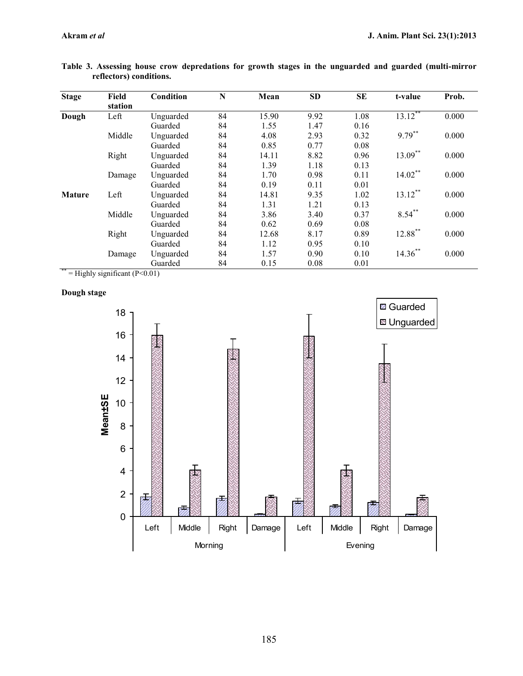| <b>Stage</b>  | Field   | Condition | N  | Mean  | SD   | <b>SE</b> | t-value    | Prob. |
|---------------|---------|-----------|----|-------|------|-----------|------------|-------|
|               | station |           |    |       |      |           |            |       |
| Dough         | Left    | Unguarded | 84 | 15.90 | 9.92 | 1.08      | $13.12$ ** | 0.000 |
|               |         | Guarded   | 84 | 1.55  | 1.47 | 0.16      |            |       |
|               | Middle  | Unguarded | 84 | 4.08  | 2.93 | 0.32      | $9.79***$  | 0.000 |
|               |         | Guarded   | 84 | 0.85  | 0.77 | 0.08      |            |       |
|               | Right   | Unguarded | 84 | 14.11 | 8.82 | 0.96      | 13.09**    | 0.000 |
|               |         | Guarded   | 84 | 1.39  | 1.18 | 0.13      |            |       |
|               | Damage  | Unguarded | 84 | 1.70  | 0.98 | 0.11      | $14.02***$ | 0.000 |
|               |         | Guarded   | 84 | 0.19  | 0.11 | 0.01      |            |       |
| <b>Mature</b> | Left    | Unguarded | 84 | 14.81 | 9.35 | 1.02      | $13.12***$ | 0.000 |
|               |         | Guarded   | 84 | 1.31  | 1.21 | 0.13      |            |       |
|               | Middle  | Unguarded | 84 | 3.86  | 3.40 | 0.37      | $8.54***$  | 0.000 |
|               |         | Guarded   | 84 | 0.62  | 0.69 | 0.08      |            |       |
|               | Right   | Unguarded | 84 | 12.68 | 8.17 | 0.89      | 12.88**    | 0.000 |
|               |         | Guarded   | 84 | 1.12  | 0.95 | 0.10      |            |       |
|               | Damage  | Unguarded | 84 | 1.57  | 0.90 | 0.10      | $14.36***$ | 0.000 |
|               |         | Guarded   | 84 | 0.15  | 0.08 | 0.01      |            |       |

**Table 3. Assessing house crow depredations for growth stages in the unguarded and guarded (multi-mirror reflectors) conditions.**

\*\* = Highly significant  $(P<0.01)$ 

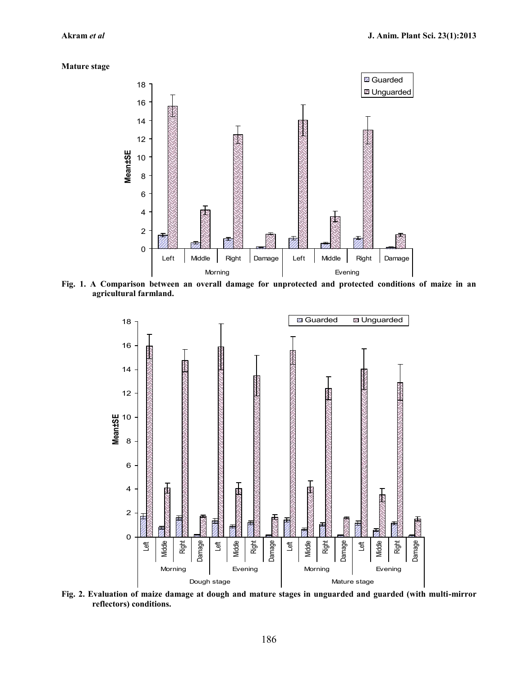#### **Mature stage**



**Fig. 1. A Comparison between an overall damage for unprotected and protected conditions of maize in an agricultural farmland.**



**Fig. 2. Evaluation of maize damage at dough and mature stages in unguarded and guarded (with multi-mirror reflectors) conditions.**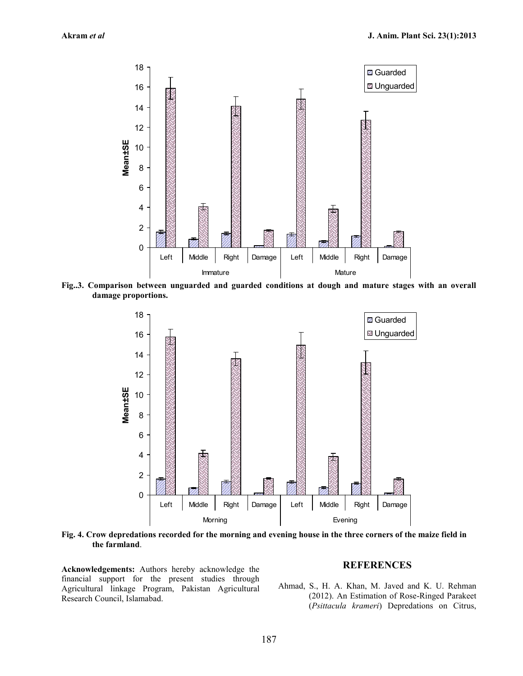

**Fig..3. Comparison between unguarded and guarded conditions at dough and mature stages with an overall damage proportions.**

![](_page_5_Figure_4.jpeg)

**Fig. 4. Crow depredations recorded for the morning and evening house in the three corners of the maize field in the farmland**.

**Acknowledgements:** Authors hereby acknowledge the financial support for the present studies through Agricultural linkage Program, Pakistan Agricultural Research Council, Islamabad.

# **REFERENCES**

Ahmad, S., H. A. Khan, M. Javed and K. U. Rehman (2012). An Estimation of Rose-Ringed Parakeet (*Psittacula krameri*) Depredations on Citrus,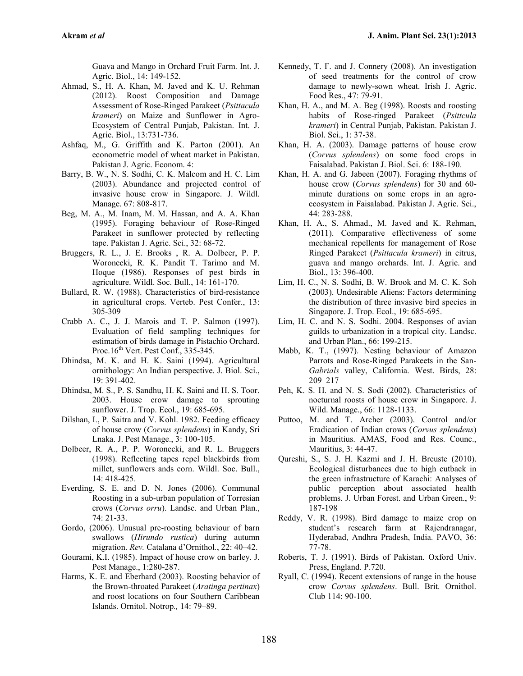Guava and Mango in Orchard Fruit Farm. Int. J. Agric. Biol., 14: 149-152.

- Ahmad, S., H. A. Khan, M. Javed and K. U. Rehman (2012). Roost Composition and Damage Assessment of Rose-Ringed Parakeet (*Psittacula krameri*) on Maize and Sunflower in Agro- Ecosystem of Central Punjab, Pakistan. Int. J. Agric. Biol., 13:731-736.
- Ashfaq, M., G. Griffith and K. Parton (2001). An econometric model of wheat market in Pakistan. Pakistan J. Agric. Econom. 4:
- Barry, B. W., N. S. Sodhi, C. K. Malcom and H. C. Lim (2003). Abundance and projected control of invasive house crow in Singapore. J. Wildl. Manage. 67: 808-817.
- Beg, M. A., M. Inam, M. M. Hassan, and A. A. Khan (1995). Foraging behaviour of Rose-Ringed Parakeet in sunflower protected by reflecting tape. Pakistan J. Agric. Sci., 32: 68-72.
- Bruggers, R. L., J. E. Brooks , R. A. Dolbeer, P. P. Woronecki, R. K. Pandit T. Tarimo and M. Hoque (1986). Responses of pest birds in agriculture. Wildl. Soc. Bull., 14: 161-170.
- Bullard, R. W. (1988). Characteristics of bird-resistance in agricultural crops. Verteb. Pest Confer., 13: 305-309
- Crabb A. C., J. J. Marois and T. P. Salmon (1997). Evaluation of field sampling techniques for estimation of birds damage in Pistachio Orchard. Proc.16<sup>th</sup> Vert. Pest Conf., 335-345.
- Dhindsa, M. K. and H. K. Saini (1994). Agricultural ornithology: An Indian perspective. J. Biol. Sci., 19: 391-402.
- Dhindsa, M. S., P. S. Sandhu, H. K. Saini and H. S. Toor. 2003. House crow damage to sprouting sunflower. J. Trop. Ecol., 19: 685-695.
- Dilshan, I., P. Saitra and V. Kohl. 1982. Feeding efficacy of house crow (*Corvus splendens*) in Kandy, Sri Lnaka. J. Pest Manage., 3: 100-105.
- Dolbeer, R. A., P. P. Woronecki, and R. L. Bruggers (1998). Reflecting tapes repel blackbirds from millet, sunflowers ands corn. Wildl. Soc. Bull., 14: 418-425.
- Everding, S. E. and D. N. Jones (2006). Communal Roosting in a sub-urban population of Torresian crows (*Corvus orru*). Landsc. and Urban Plan., 74: 21-33.
- Gordo, (2006). Unusual pre-roosting behaviour of barn swallows (*Hirundo rustica*) during autumn migration. *Rev.* Catalana d'Ornithol*.*, 22: 40–42.
- Gourami, K.I. (1985). Impact of house crow on barley. J. Pest Manage., 1:280-287.
- Harms, K. E. and Eberhard (2003). Roosting behavior of the Brown-throated Parakeet (*Aratinga pertinax*) and roost locations on four Southern Caribbean Islands. Ornitol. Notrop*.,* 14: 79–89.
- Kennedy, T. F. and J. Connery (2008). An investigation of seed treatments for the control of crow damage to newly-sown wheat. Irish J. Agric. Food Res., 47: 79-91.
- Khan, H. A., and M. A. Beg (1998). Roosts and roosting habits of Rose-ringed Parakeet (*Psittcula krameri*) in Central Punjab, Pakistan. Pakistan J. Biol. Sci., 1: 37-38.
- Khan, H. A. (2003). Damage patterns of house crow (*Corvus splendens*) on some food crops in Faisalabad. Pakistan J. Biol. Sci. 6: 188-190.
- Khan, H. A. and G. Jabeen (2007). Foraging rhythms of house crow (*Corvus splendens*) for 30 and 60 minute durations on some crops in an agro ecosystem in Faisalabad. Pakistan J. Agric. Sci., 44: 283-288.
- Khan, H. A., S. Ahmad., M. Javed and K. Rehman, (2011). Comparative effectiveness of some mechanical repellents for management of Rose Ringed Parakeet (*Psittacula krameri*) in citrus, guava and mango orchards. Int. J. Agric. and Biol., 13: 396-400.
- Lim, H. C., N. S. Sodhi, B. W. Brook and M. C. K. Soh (2003). Undesirable Aliens: Factors determining the distribution of three invasive bird species in Singapore. J. Trop. Ecol., 19: 685-695.
- Lim, H. C. and N. S. Sodhi. 2004. Responses of avian guilds to urbanization in a tropical city. Landsc. and Urban Plan., 66: 199-215.
- Mabb, K. T., (1997). Nesting behaviour of Amazon Parrots and Rose-Ringed Parakeets in the San- *Gabrials* valley, California. West. Birds, 28: 209–217
- Peh, K. S. H. and N. S. Sodi (2002). Characteristics of nocturnal roosts of house crow in Singapore. J. Wild. Manage., 66: 1128-1133.
- Puttoo, M. and T. Archer (2003). Control and/or Eradication of Indian crows (*Corvus splendens*) in Mauritius. AMAS, Food and Res. Counc., Mauritius, 3: 44-47.
- Qureshi, S., S. J. H. Kazmi and J. H. Breuste (2010). Ecological disturbances due to high cutback in the green infrastructure of Karachi: Analyses of public perception about associated health problems. J. Urban Forest. and Urban Green., 9: 187-198
- Reddy, V. R. (1998). Bird damage to maize crop on student's research farm at Rajendranagar, Hyderabad, Andhra Pradesh, India. PAVO, 36: 77-78.
- Roberts, T. J. (1991). Birds of Pakistan. Oxford Univ. Press, England. P.720.
- Ryall, C. (1994). Recent extensions of range in the house crow *Corvus splendens*. Bull. Brit. Ornithol. Club 114: 90-100.